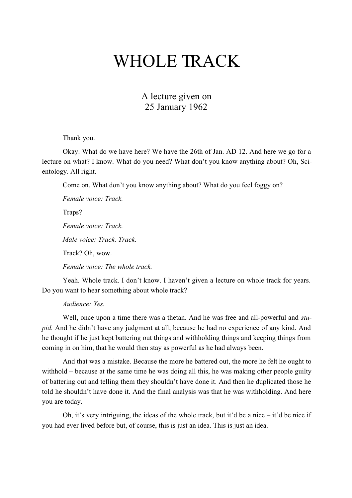## WHOLE TRACK

## A lecture given on 25 January 1962

Thank you.

Okay. What do we have here? We have the 26th of Jan. AD 12. And here we go for a lecture on what? I know. What do you need? What don't you know anything about? Oh, Scientology. All right.

Come on. What don't you know anything about? What do you feel foggy on?

*Female voice: Track.* Traps? *Female voice: Track. Male voice: Track. Track.* Track? Oh, wow. *Female voice: The whole track.*

Yeah. Whole track. I don't know. I haven't given a lecture on whole track for years. Do you want to hear something about whole track?

*Audience: Yes.*

Well, once upon a time there was a thetan. And he was free and all-powerful and *stupid.* And he didn't have any judgment at all, because he had no experience of any kind. And he thought if he just kept battering out things and withholding things and keeping things from coming in on him, that he would then stay as powerful as he had always been.

And that was a mistake. Because the more he battered out, the more he felt he ought to withhold – because at the same time he was doing all this, he was making other people guilty of battering out and telling them they shouldn't have done it. And then he duplicated those he told he shouldn't have done it. And the final analysis was that he was withholding. And here you are today.

Oh, it's very intriguing, the ideas of the whole track, but it'd be a nice – it'd be nice if you had ever lived before but, of course, this is just an idea. This is just an idea.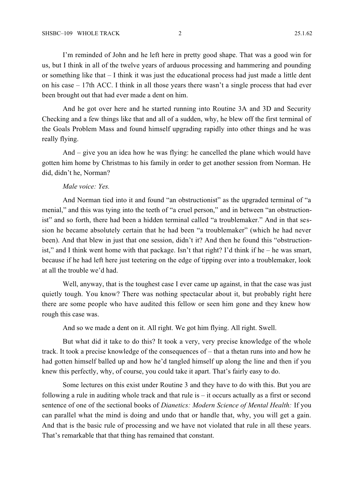I'm reminded of John and he left here in pretty good shape. That was a good win for us, but I think in all of the twelve years of arduous processing and hammering and pounding or something like that – I think it was just the educational process had just made a little dent on his case – 17th ACC. I think in all those years there wasn't a single process that had ever been brought out that had ever made a dent on him.

And he got over here and he started running into Routine 3A and 3D and Security Checking and a few things like that and all of a sudden, why, he blew off the first terminal of the Goals Problem Mass and found himself upgrading rapidly into other things and he was really flying.

And – give you an idea how he was flying: he cancelled the plane which would have gotten him home by Christmas to his family in order to get another session from Norman. He did, didn't he, Norman?

## *Male voice: Yes.*

And Norman tied into it and found "an obstructionist" as the upgraded terminal of "a menial," and this was tying into the teeth of "a cruel person," and in between "an obstructionist" and so forth, there had been a hidden terminal called "a troublemaker." And in that session he became absolutely certain that he had been "a troublemaker" (which he had never been). And that blew in just that one session, didn't it? And then he found this "obstructionist," and I think went home with that package. Isn't that right? I'd think if he – he was smart, because if he had left here just teetering on the edge of tipping over into a troublemaker, look at all the trouble we'd had.

Well, anyway, that is the toughest case I ever came up against, in that the case was just quietly tough. You know? There was nothing spectacular about it, but probably right here there are some people who have audited this fellow or seen him gone and they knew how rough this case was.

And so we made a dent on it. All right. We got him flying. All right. Swell.

But what did it take to do this? It took a very, very precise knowledge of the whole track. It took a precise knowledge of the consequences of – that a thetan runs into and how he had gotten himself balled up and how he'd tangled himself up along the line and then if you knew this perfectly, why, of course, you could take it apart. That's fairly easy to do.

Some lectures on this exist under Routine 3 and they have to do with this. But you are following a rule in auditing whole track and that rule is  $-$  it occurs actually as a first or second sentence of one of the sectional books of *Dianetics: Modern Science of Mental Health:* If you can parallel what the mind is doing and undo that or handle that, why, you will get a gain. And that is the basic rule of processing and we have not violated that rule in all these years. That's remarkable that that thing has remained that constant.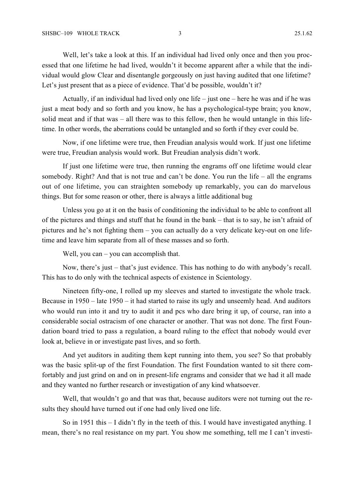Well, let's take a look at this. If an individual had lived only once and then you processed that one lifetime he had lived, wouldn't it become apparent after a while that the individual would glow Clear and disentangle gorgeously on just having audited that one lifetime? Let's just present that as a piece of evidence. That'd be possible, wouldn't it?

Actually, if an individual had lived only one life – just one – here he was and if he was just a meat body and so forth and you know, he has a psychological-type brain; you know, solid meat and if that was – all there was to this fellow, then he would untangle in this lifetime. In other words, the aberrations could be untangled and so forth if they ever could be.

Now, if one lifetime were true, then Freudian analysis would work. If just one lifetime were true, Freudian analysis would work. But Freudian analysis didn't work.

If just one lifetime were true, then running the engrams off one lifetime would clear somebody. Right? And that is not true and can't be done. You run the life – all the engrams out of one lifetime, you can straighten somebody up remarkably, you can do marvelous things. But for some reason or other, there is always a little additional bug

Unless you go at it on the basis of conditioning the individual to be able to confront all of the pictures and things and stuff that he found in the bank – that is to say, he isn't afraid of pictures and he's not fighting them – you can actually do a very delicate key-out on one lifetime and leave him separate from all of these masses and so forth.

Well, you can – you can accomplish that.

Now, there's just – that's just evidence. This has nothing to do with anybody's recall. This has to do only with the technical aspects of existence in Scientology.

Nineteen fifty-one, I rolled up my sleeves and started to investigate the whole track. Because in 1950 – late 1950 – it had started to raise its ugly and unseemly head. And auditors who would run into it and try to audit it and pcs who dare bring it up, of course, ran into a considerable social ostracism of one character or another. That was not done. The first Foundation board tried to pass a regulation, a board ruling to the effect that nobody would ever look at, believe in or investigate past lives, and so forth.

And yet auditors in auditing them kept running into them, you see? So that probably was the basic split-up of the first Foundation. The first Foundation wanted to sit there comfortably and just grind on and on in present-life engrams and consider that we had it all made and they wanted no further research or investigation of any kind whatsoever.

Well, that wouldn't go and that was that, because auditors were not turning out the results they should have turned out if one had only lived one life.

So in 1951 this – I didn't fly in the teeth of this. I would have investigated anything. I mean, there's no real resistance on my part. You show me something, tell me I can't investi-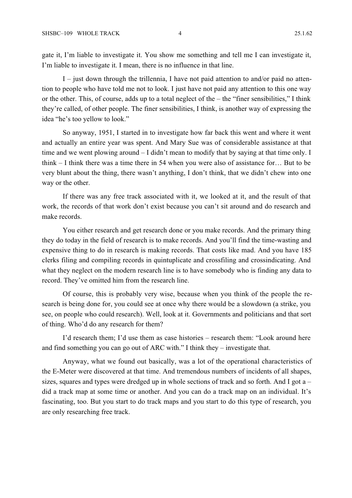gate it, I'm liable to investigate it. You show me something and tell me I can investigate it, I'm liable to investigate it. I mean, there is no influence in that line.

I – just down through the trillennia, I have not paid attention to and/or paid no attention to people who have told me not to look. I just have not paid any attention to this one way or the other. This, of course, adds up to a total neglect of the – the "finer sensibilities," I think they're called, of other people. The finer sensibilities, I think, is another way of expressing the idea "he's too yellow to look."

So anyway, 1951, I started in to investigate how far back this went and where it went and actually an entire year was spent. And Mary Sue was of considerable assistance at that time and we went plowing around – I didn't mean to modify that by saying at that time only. I think – I think there was a time there in 54 when you were also of assistance for… But to be very blunt about the thing, there wasn't anything, I don't think, that we didn't chew into one way or the other.

If there was any free track associated with it, we looked at it, and the result of that work, the records of that work don't exist because you can't sit around and do research and make records.

You either research and get research done or you make records. And the primary thing they do today in the field of research is to make records. And you'll find the time-wasting and expensive thing to do in research is making records. That costs like mad. And you have 185 clerks filing and compiling records in quintuplicate and crossfiling and crossindicating. And what they neglect on the modern research line is to have somebody who is finding any data to record. They've omitted him from the research line.

Of course, this is probably very wise, because when you think of the people the research is being done for, you could see at once why there would be a slowdown (a strike, you see, on people who could research). Well, look at it. Governments and politicians and that sort of thing. Who'd do any research for them?

I'd research them; I'd use them as case histories – research them: "Look around here and find something you can go out of ARC with." I think they – investigate that.

Anyway, what we found out basically, was a lot of the operational characteristics of the E-Meter were discovered at that time. And tremendous numbers of incidents of all shapes, sizes, squares and types were dredged up in whole sections of track and so forth. And I got  $a$ did a track map at some time or another. And you can do a track map on an individual. It's fascinating, too. But you start to do track maps and you start to do this type of research, you are only researching free track.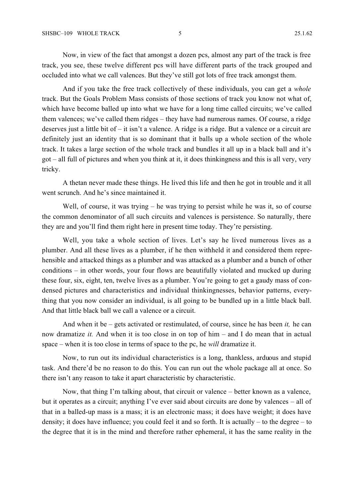Now, in view of the fact that amongst a dozen pcs, almost any part of the track is free track, you see, these twelve different pcs will have different parts of the track grouped and occluded into what we call valences. But they've still got lots of free track amongst them.

And if you take the free track collectively of these individuals, you can get a *whole* track. But the Goals Problem Mass consists of those sections of track you know not what of, which have become balled up into what we have for a long time called circuits; we've called them valences; we've called them ridges – they have had numerous names. Of course, a ridge deserves just a little bit of – it isn't a valence. A ridge is a ridge. But a valence or a circuit are definitely just an identity that is so dominant that it balls up a whole section of the whole track. It takes a large section of the whole track and bundles it all up in a black ball and it's got – all full of pictures and when you think at it, it does thinkingness and this is all very, very tricky.

A thetan never made these things. He lived this life and then he got in trouble and it all went scrunch. And he's since maintained it.

Well, of course, it was trying – he was trying to persist while he was it, so of course the common denominator of all such circuits and valences is persistence. So naturally, there they are and you'll find them right here in present time today. They're persisting.

Well, you take a whole section of lives. Let's say he lived numerous lives as a plumber. And all these lives as a plumber, if he then withheld it and considered them reprehensible and attacked things as a plumber and was attacked as a plumber and a bunch of other conditions – in other words, your four flows are beautifully violated and mucked up during these four, six, eight, ten, twelve lives as a plumber. You're going to get a gaudy mass of condensed pictures and characteristics and individual thinkingnesses, behavior patterns, everything that you now consider an individual, is all going to be bundled up in a little black ball. And that little black ball we call a valence or a circuit.

And when it be – gets activated or restimulated, of course, since he has been *it,* he can now dramatize *it.* And when it is too close in on top of him – and I do mean that in actual space – when it is too close in terms of space to the pc, he *will* dramatize it.

Now, to run out its individual characteristics is a long, thankless, arduous and stupid task. And there'd be no reason to do this. You can run out the whole package all at once. So there isn't any reason to take it apart characteristic by characteristic.

Now, that thing I'm talking about, that circuit or valence – better known as a valence, but it operates as a circuit; anything I've ever said about circuits are done by valences – all of that in a balled-up mass is a mass; it is an electronic mass; it does have weight; it does have density; it does have influence; you could feel it and so forth. It is actually – to the degree – to the degree that it is in the mind and therefore rather ephemeral, it has the same reality in the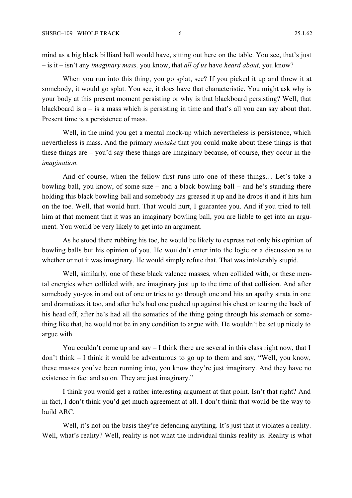mind as a big black billiard ball would have, sitting out here on the table. You see, that's just – is it – isn't any *imaginary mass,* you know, that *all of us* have *heard about,* you know?

When you run into this thing, you go splat, see? If you picked it up and threw it at somebody, it would go splat. You see, it does have that characteristic. You might ask why is your body at this present moment persisting or why is that blackboard persisting? Well, that blackboard is  $a - i s a$  mass which is persisting in time and that's all you can say about that. Present time is a persistence of mass.

Well, in the mind you get a mental mock-up which nevertheless is persistence, which nevertheless is mass. And the primary *mistake* that you could make about these things is that these things are – you'd say these things are imaginary because, of course, they occur in the *imagination.*

And of course, when the fellow first runs into one of these things… Let's take a bowling ball, you know, of some size – and a black bowling ball – and he's standing there holding this black bowling ball and somebody has greased it up and he drops it and it hits him on the toe. Well, that would hurt. That would hurt, I guarantee you. And if you tried to tell him at that moment that it was an imaginary bowling ball, you are liable to get into an argument. You would be very likely to get into an argument.

As he stood there rubbing his toe, he would be likely to express not only his opinion of bowling balls but his opinion of you. He wouldn't enter into the logic or a discussion as to whether or not it was imaginary. He would simply refute that. That was intolerably stupid.

Well, similarly, one of these black valence masses, when collided with, or these mental energies when collided with, are imaginary just up to the time of that collision. And after somebody yo-yos in and out of one or tries to go through one and hits an apathy strata in one and dramatizes it too, and after he's had one pushed up against his chest or tearing the back of his head off, after he's had all the somatics of the thing going through his stomach or something like that, he would not be in any condition to argue with. He wouldn't be set up nicely to argue with.

You couldn't come up and say – I think there are several in this class right now, that I don't think – I think it would be adventurous to go up to them and say, "Well, you know, these masses you've been running into, you know they're just imaginary. And they have no existence in fact and so on. They are just imaginary."

I think you would get a rather interesting argument at that point. Isn't that right? And in fact, I don't think you'd get much agreement at all. I don't think that would be the way to build ARC.

Well, it's not on the basis they're defending anything. It's just that it violates a reality. Well, what's reality? Well, reality is not what the individual thinks reality is. Reality is what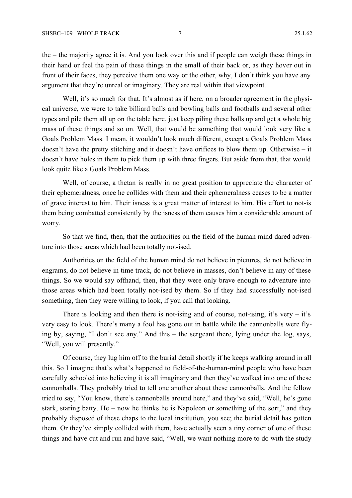the – the majority agree it is. And you look over this and if people can weigh these things in their hand or feel the pain of these things in the small of their back or, as they hover out in front of their faces, they perceive them one way or the other, why, I don't think you have any argument that they're unreal or imaginary. They are real within that viewpoint.

Well, it's so much for that. It's almost as if here, on a broader agreement in the physical universe, we were to take billiard balls and bowling balls and footballs and several other types and pile them all up on the table here, just keep piling these balls up and get a whole big mass of these things and so on. Well, that would be something that would look very like a Goals Problem Mass. I mean, it wouldn't look much different, except a Goals Problem Mass doesn't have the pretty stitching and it doesn't have orifices to blow them up. Otherwise – it doesn't have holes in them to pick them up with three fingers. But aside from that, that would look quite like a Goals Problem Mass.

Well, of course, a thetan is really in no great position to appreciate the character of their ephemeralness, once he collides with them and their ephemeralness ceases to be a matter of grave interest to him. Their isness is a great matter of interest to him. His effort to not-is them being combatted consistently by the isness of them causes him a considerable amount of worry.

So that we find, then, that the authorities on the field of the human mind dared adventure into those areas which had been totally not-ised.

Authorities on the field of the human mind do not believe in pictures, do not believe in engrams, do not believe in time track, do not believe in masses, don't believe in any of these things. So we would say offhand, then, that they were only brave enough to adventure into those areas which had been totally not-ised by them. So if they had successfully not-ised something, then they were willing to look, if you call that looking.

There is looking and then there is not-ising and of course, not-ising, it's very  $-$  it's very easy to look. There's many a fool has gone out in battle while the cannonballs were flying by, saying, "I don't see any." And this – the sergeant there, lying under the log, says, "Well, you will presently."

Of course, they lug him off to the burial detail shortly if he keeps walking around in all this. So I imagine that's what's happened to field-of-the-human-mind people who have been carefully schooled into believing it is all imaginary and then they've walked into one of these cannonballs. They probably tried to tell one another about these cannonballs. And the fellow tried to say, "You know, there's cannonballs around here," and they've said, "Well, he's gone stark, staring batty. He – now he thinks he is Napoleon or something of the sort," and they probably disposed of these chaps to the local institution, you see; the burial detail has gotten them. Or they've simply collided with them, have actually seen a tiny corner of one of these things and have cut and run and have said, "Well, we want nothing more to do with the study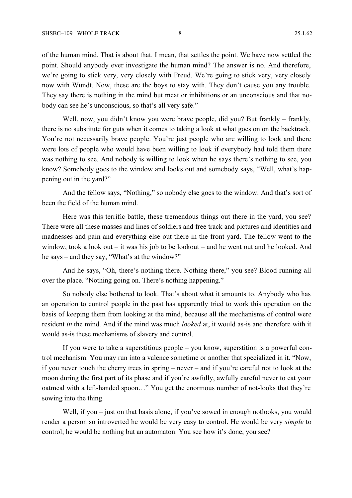of the human mind. That is about that. I mean, that settles the point. We have now settled the point. Should anybody ever investigate the human mind? The answer is no. And therefore, we're going to stick very, very closely with Freud. We're going to stick very, very closely now with Wundt. Now, these are the boys to stay with. They don't cause you any trouble. They say there is nothing in the mind but meat or inhibitions or an unconscious and that nobody can see he's unconscious, so that's all very safe."

Well, now, you didn't know you were brave people, did you? But frankly – frankly, there is no substitute for guts when it comes to taking a look at what goes on on the backtrack. You're not necessarily brave people. You're just people who are willing to look and there were lots of people who would have been willing to look if everybody had told them there was nothing to see. And nobody is willing to look when he says there's nothing to see, you know? Somebody goes to the window and looks out and somebody says, "Well, what's happening out in the yard?"

And the fellow says, "Nothing," so nobody else goes to the window. And that's sort of been the field of the human mind.

Here was this terrific battle, these tremendous things out there in the yard, you see? There were all these masses and lines of soldiers and free track and pictures and identities and madnesses and pain and everything else out there in the front yard. The fellow went to the window, took a look out – it was his job to be lookout – and he went out and he looked. And he says – and they say, "What's at the window?"

And he says, "Oh, there's nothing there. Nothing there," you see? Blood running all over the place. "Nothing going on. There's nothing happening."

So nobody else bothered to look. That's about what it amounts to. Anybody who has an operation to control people in the past has apparently tried to work this operation on the basis of keeping them from looking at the mind, because all the mechanisms of control were resident *in* the mind. And if the mind was much *looked* at, it would as-is and therefore with it would as-is these mechanisms of slavery and control.

If you were to take a superstitious people – you know, superstition is a powerful control mechanism. You may run into a valence sometime or another that specialized in it. "Now, if you never touch the cherry trees in spring – never – and if you're careful not to look at the moon during the first part of its phase and if you're awfully, awfully careful never to eat your oatmeal with a left-handed spoon…" You get the enormous number of not-looks that they're sowing into the thing.

Well, if you – just on that basis alone, if you've sowed in enough notlooks, you would render a person so introverted he would be very easy to control. He would be very *simple* to control; he would be nothing but an automaton. You see how it's done, you see?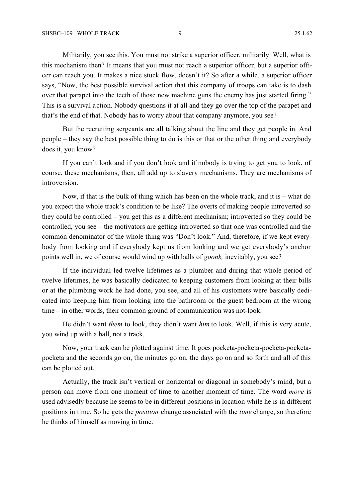Militarily, you see this. You must not strike a superior officer, militarily. Well, what is this mechanism then? It means that you must not reach a superior officer, but a superior officer can reach you. It makes a nice stuck flow, doesn't it? So after a while, a superior officer says, "Now, the best possible survival action that this company of troops can take is to dash over that parapet into the teeth of those new machine guns the enemy has just started firing." This is a survival action. Nobody questions it at all and they go over the top of the parapet and that's the end of that. Nobody has to worry about that company anymore, you see?

But the recruiting sergeants are all talking about the line and they get people in. And people – they say the best possible thing to do is this or that or the other thing and everybody does it, you know?

If you can't look and if you don't look and if nobody is trying to get you to look, of course, these mechanisms, then, all add up to slavery mechanisms. They are mechanisms of introversion.

Now, if that is the bulk of thing which has been on the whole track, and it is – what do you expect the whole track's condition to be like? The overts of making people introverted so they could be controlled – you get this as a different mechanism; introverted so they could be controlled, you see – the motivators are getting introverted so that one was controlled and the common denominator of the whole thing was "Don't look." And, therefore, if we kept everybody from looking and if everybody kept us from looking and we get everybody's anchor points well in, we of course would wind up with balls of *goonk,* inevitably, you see?

If the individual led twelve lifetimes as a plumber and during that whole period of twelve lifetimes, he was basically dedicated to keeping customers from looking at their bills or at the plumbing work he had done, you see, and all of his customers were basically dedicated into keeping him from looking into the bathroom or the guest bedroom at the wrong time – in other words, their common ground of communication was not-look.

He didn't want *them* to look, they didn't want *him* to look. Well, if this is very acute, you wind up with a ball, not a track.

Now, your track can be plotted against time. It goes pocketa-pocketa-pocketa-pocketapocketa and the seconds go on, the minutes go on, the days go on and so forth and all of this can be plotted out.

Actually, the track isn't vertical or horizontal or diagonal in somebody's mind, but a person can move from one moment of time to another moment of time. The word *move* is used advisedly because he seems to be in different positions in location while he is in different positions in time. So he gets the *position* change associated with the *time* change, so therefore he thinks of himself as moving in time.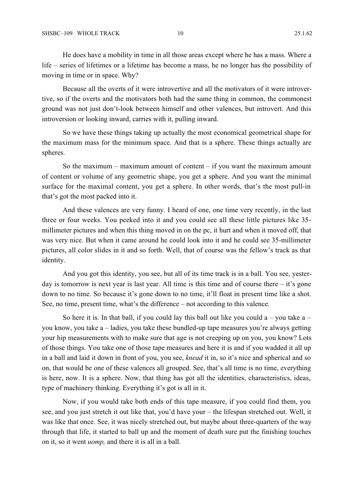He does have a mobility in time in all those areas except where he has a mass. Where a life – series of lifetimes or a lifetime has become a mass, he no longer has the possibility of moving in time or in space. Why?

Because all the overts of it were introvertive and all the motivators of it were introvertive, so if the overts and the motivators both had the same thing in common, the commonest ground was not just don't-look between himself and other valences, but introvert. And this introversion or looking inward, carries with it, pulling inward.

So we have these things taking up actually the most economical geometrical shape for the maximum mass for the minimum space. And that is a sphere. These things actually are spheres.

So the maximum – maximum amount of content – if you want the maximum amount of content or volume of any geometric shape, you get a sphere. And you want the minimal surface for the maximal content, you get a sphere. In other words, that's the most pull-in that's got the most packed into it.

And these valences are very funny. I heard of one, one time very recently, in the last three or four weeks. You peeked into it and you could see all these little pictures like 35 millimeter pictures and when this thing moved in on the pc, it hurt and when it moved off, that was very nice. But when it came around he could look into it and he could see 35-millimeter pictures, all color slides in it and so forth. Well, that of course was the fellow's track as that identity.

And you got this identity, you see, but all of its time track is in a ball. You see, yesterday is tomorrow is next year is last year. All time is this time and of course there – it's gone down to no time. So because it's gone down to no time, it'll float in present time like a shot. See, no time, present time, what's the difference – not according to this valence.

So here it is. In that ball, if you could lay this ball out like you could  $a - y$ ou take  $a$ you know, you take a – ladies, you take these bundled-up tape measures you're always getting your hip measurements with to make sure that age is not creeping up on you, you know? Lots of those things. You take one of those tape measures and here it is and if you wadded it all up in a ball and laid it down in front of you, you see, *knead* it in, so it's nice and spherical and so on, that would be one of these valences all grouped. See, that's all time is no time, everything is here, now. It is a sphere. Now, that thing has got all the identities, characteristics, ideas, type of machinery thinking. Everything it's got is all in it.

Now, if you would take both ends of this tape measure, if you could find them, you see, and you just stretch it out like that, you'd have your – the lifespan stretched out. Well, it was like that once. See, it was nicely stretched out, but maybe about three-quarters of the way through that life, it started to ball up and the moment of death sure put the finishing touches on it, so it went *uomp,* and there it is all in a ball.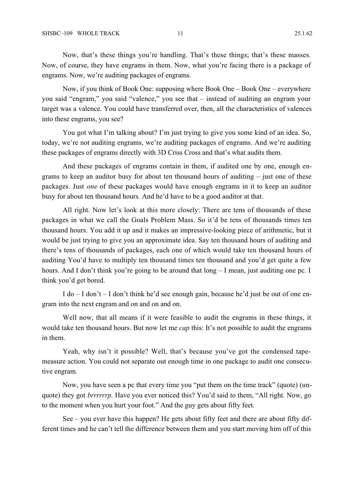Now, that's these things you're handling. That's these things; that's these masses. Now, of course, they have engrams in them. Now, what you're facing there is a package of engrams. Now, we're auditing packages of engrams.

Now, if you think of Book One: supposing where Book One – Book One – everywhere you said "engram," you said "valence," you see that – instead of auditing an engram your target was a valence. You could have transferred over, then, all the characteristics of valences into these engrams, you see?

You got what I'm talking about? I'm just trying to give you some kind of an idea. So, today, we're not auditing engrams, we're auditing packages of engrams. And we're auditing these packages of engrams directly with 3D Criss Cross and that's what audits them.

And these packages of engrams contain in them, if audited one by one, enough engrams to keep an auditor busy for about ten thousand hours of auditing – just one of these packages. Just *one* of these packages would have enough engrams in it to keep an auditor busy for about ten thousand hours. And he'd have to be a good auditor at that.

All right. Now let's look at this more closely: There are tens of thousands of these packages in what we call the Goals Problem Mass. So it'd be tens of thousands times ten thousand hours. You add it up and it makes an impressive-looking piece of arithmetic, but it would be just trying to give you an approximate idea. Say ten thousand hours of auditing and there's tens of thousands of packages, each one of which would take ten thousand hours of auditing You'd have to multiply ten thousand times ten thousand and you'd get quite a few hours. And I don't think you're going to be around that  $\log - I$  mean, just auditing one pc. I think you'd get bored.

I do – I don't – I don't think he'd see enough gain, because he'd just be out of one engram into the next engram and on and on and on.

Well now, that all means if it were feasible to audit the engrams in these things, it would take ten thousand hours. But now let me *cap* this: It's not possible to audit the engrams in them.

Yeah, why isn't it possible? Well, that's because you've got the condensed tapemeasure action. You could not separate out enough time in one package to audit one consecutive engram.

Now, you have seen a pc that every time you "put them on the time track" (quote) (unquote) they got *brrrrrrp.* Have you ever noticed this? You'd said to them, "All right. Now, go to the moment when you hurt your foot." And the guy gets about fifty feet.

See – you ever have this happen? He gets about fifty feet and there are about fifty different times and he can't tell the difference between them and you start moving him off of this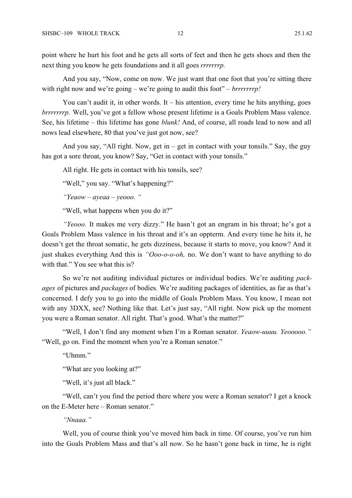point where he hurt his foot and he gets all sorts of feet and then he gets shoes and then the next thing you know he gets foundations and it all goes *rrrrrrrp.*

And you say, "Now, come on now. We just want that one foot that you're sitting there with right now and we're going – we're going to audit this foot" – *brrrrrrrp!* 

You can't audit it, in other words. It – his attention, every time he hits anything, goes *brrrrrrrp.* Well, you've got a fellow whose present lifetime is a Goals Problem Mass valence. See, his lifetime – this lifetime has gone *blunk!* And, of course, all roads lead to now and all nows lead elsewhere, 80 that you've just got now, see?

And you say, "All right. Now, get in – get in contact with your tonsils." Say, the guy has got a sore throat, you know? Say, "Get in contact with your tonsils."

All right. He gets in contact with his tonsils, see?

"Well," you say. "What's happening?"

*"Yeaow – ayeaa – yeooo. "*

"Well, what happens when you do it?"

*"Yeooo.* It makes me very dizzy." He hasn't got an engram in his throat; he's got a Goals Problem Mass valence in his throat and it's an oppterm. And every time he hits it, he doesn't get the throat somatic, he gets dizziness, because it starts to move, you know? And it just shakes everything And this is *"Ooo-o-o-oh,* no. We don't want to have anything to do with that." You see what this is?

So we're not auditing individual pictures or individual bodies. We're auditing *packages* of pictures and *packages* of bodies. We're auditing packages of identities, as far as that's concerned. I defy you to go into the middle of Goals Problem Mass. You know, I mean not with any 3DXX, see? Nothing like that. Let's just say, "All right. Now pick up the moment you were a Roman senator. All right. That's good. What's the matter?"

"Well, I don't find any moment when I'm a Roman senator. *Yeaow-uuuu. Yeooooo."* "Well, go on. Find the moment when you're a Roman senator."

"Uhmm"

"What are you looking at?"

"Well, it's just all black."

"Well, can't you find the period there where you were a Roman senator? I get a knock on the E-Meter here – Roman senator."

*"Nnaaa."*

Well, you of course think you've moved him back in time. Of course, you've run him into the Goals Problem Mass and that's all now. So he hasn't gone back in time, he is right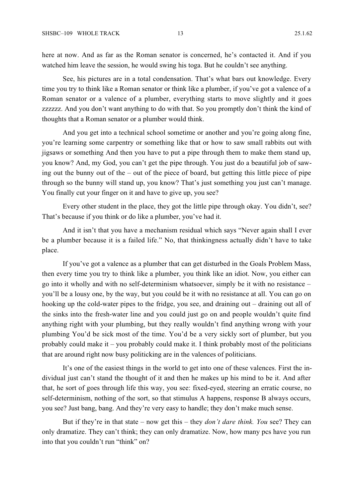here at now. And as far as the Roman senator is concerned, he's contacted it. And if you watched him leave the session, he would swing his toga. But he couldn't see anything.

See, his pictures are in a total condensation. That's what bars out knowledge. Every time you try to think like a Roman senator or think like a plumber, if you've got a valence of a Roman senator or a valence of a plumber, everything starts to move slightly and it goes zzzzzz. And you don't want anything to do with that. So you promptly don't think the kind of thoughts that a Roman senator or a plumber would think.

And you get into a technical school sometime or another and you're going along fine, you're learning some carpentry or something like that or how to saw small rabbits out with jigsaws or something And then you have to put a pipe through them to make them stand up, you know? And, my God, you can't get the pipe through. You just do a beautiful job of sawing out the bunny out of the – out of the piece of board, but getting this little piece of pipe through so the bunny will stand up, you know? That's just something you just can't manage. You finally cut your finger on it and have to give up, you see?

Every other student in the place, they got the little pipe through okay. You didn't, see? That's because if you think or do like a plumber, you've had it.

And it isn't that you have a mechanism residual which says "Never again shall I ever be a plumber because it is a failed life." No, that thinkingness actually didn't have to take place.

If you've got a valence as a plumber that can get disturbed in the Goals Problem Mass, then every time you try to think like a plumber, you think like an idiot. Now, you either can go into it wholly and with no self-determinism whatsoever, simply be it with no resistance – you'll be a lousy one, by the way, but you could be it with no resistance at all. You can go on hooking up the cold-water pipes to the fridge, you see, and draining out – draining out all of the sinks into the fresh-water line and you could just go on and people wouldn't quite find anything right with your plumbing, but they really wouldn't find anything wrong with your plumbing You'd be sick most of the time. You'd be a very sickly sort of plumber, but you probably could make it – you probably could make it. I think probably most of the politicians that are around right now busy politicking are in the valences of politicians.

It's one of the easiest things in the world to get into one of these valences. First the individual just can't stand the thought of it and then he makes up his mind to be it. And after that, he sort of goes through life this way, you see: fixed-eyed, steering an erratic course, no self-determinism, nothing of the sort, so that stimulus A happens, response B always occurs, you see? Just bang, bang. And they're very easy to handle; they don't make much sense.

But if they're in that state – now get this – they *don't dare think. You* see? They can only dramatize. They can't think; they can only dramatize. Now, how many pcs have you run into that you couldn't run "think" on?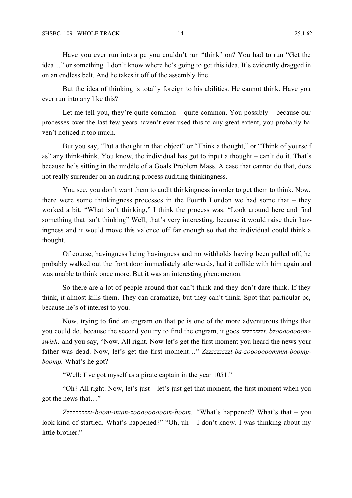Have you ever run into a pc you couldn't run "think" on? You had to run "Get the idea…" or something. I don't know where he's going to get this idea. It's evidently dragged in on an endless belt. And he takes it off of the assembly line.

But the idea of thinking is totally foreign to his abilities. He cannot think. Have you ever run into any like this?

Let me tell you, they're quite common – quite common. You possibly – because our processes over the last few years haven't ever used this to any great extent, you probably haven't noticed it too much.

But you say, "Put a thought in that object" or "Think a thought," or "Think of yourself as" any think-think. You know, the individual has got to input a thought – can't do it. That's because he's sitting in the middle of a Goals Problem Mass. A case that cannot do that, does not really surrender on an auditing process auditing thinkingness.

You see, you don't want them to audit thinkingness in order to get them to think. Now, there were some thinkingness processes in the Fourth London we had some that – they worked a bit. "What isn't thinking," I think the process was. "Look around here and find something that isn't thinking" Well, that's very interesting, because it would raise their havingness and it would move this valence off far enough so that the individual could think a thought.

Of course, havingness being havingness and no withholds having been pulled off, he probably walked out the front door immediately afterwards, had it collide with him again and was unable to think once more. But it was an interesting phenomenon.

So there are a lot of people around that can't think and they don't dare think. If they think, it almost kills them. They can dramatize, but they can't think. Spot that particular pc, because he's of interest to you.

Now, trying to find an engram on that pc is one of the more adventurous things that you could do, because the second you try to find the engram, it goes *zzzzzzzzt, bzoooooooomswish,* and you say, "Now. All right. Now let's get the first moment you heard the news your father was dead. Now, let's get the first moment…" *Zzzzzzzzzzt-ba-zooooooommm-boompboomp.* What's he got?

"Well; I've got myself as a pirate captain in the year 1051."

"Oh? All right. Now, let's just – let's just get that moment, the first moment when you got the news that…"

*Zzzzzzzzzt-boom-mum-zooooooooom-boom.* "What's happened? What's that – you look kind of startled. What's happened?" "Oh, uh – I don't know. I was thinking about my little brother."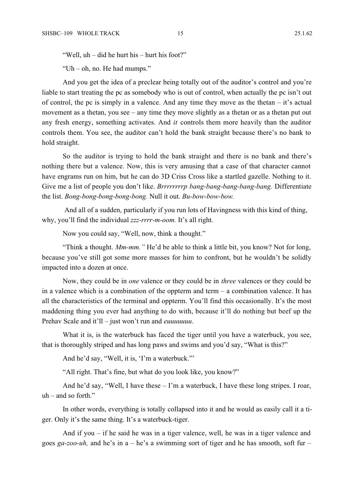"Well, uh – did he hurt his – hurt his foot?"

"Uh – oh, no. He had mumps."

And you get the idea of a preclear being totally out of the auditor's control and you're liable to start treating the pc as somebody who is out of control, when actually the pc isn't out of control, the pc is simply in a valence. And any time they move as the thetan – it's actual movement as a thetan, you see – any time they move slightly as a thetan or as a thetan put out any fresh energy, something activates. And *it* controls them more heavily than the auditor controls them. You see, the auditor can't hold the bank straight because there's no bank to hold straight.

So the auditor is trying to hold the bank straight and there is no bank and there's nothing there but a valence. Now, this is very amusing that a case of that character cannot have engrams run on him, but he can do 3D Criss Cross like a startled gazelle. Nothing to it. Give me a list of people you don't like. *Brrrrrrrrp bang-bang-bang-bang-bang.* Differentiate the list. *Bong-bong-bong-bong-bong.* Null it out. *Bu-bow-bow-bow.*

 And all of a sudden, particularly if you run lots of Havingness with this kind of thing, why, you'll find the individual *zzz-rrrr-m-oom.* It's all right.

Now you could say, "Well, now, think a thought."

"Think a thought. *Mm-mm."* He'd be able to think a little bit, you know? Not for long, because you've still got some more masses for him to confront, but he wouldn't be solidly impacted into a dozen at once.

Now, they could be in *one* valence or they could be in *three* valences or they could be in a valence which is a combination of the oppterm and term  $-$  a combination valence. It has all the characteristics of the terminal and oppterm. You'll find this occasionally. It's the most maddening thing you ever had anything to do with, because it'll do nothing but beef up the Prehav Scale and it'll – just won't run and *euuuuuuu*.

What it is, is the waterbuck has faced the tiger until you have a waterbuck, you see, that is thoroughly striped and has long paws and swims and you'd say, "What is this?"

And he'd say, "Well, it is, 'I'm a waterbuck."'

"All right. That's fine, but what do you look like, you know?"

And he'd say, "Well, I have these – I'm a waterbuck, I have these long stripes. I roar,  $uh$  – and so forth."

In other words, everything is totally collapsed into it and he would as easily call it a tiger. Only it's the same thing. It's a waterbuck-tiger.

And if you – if he said he was in a tiger valence, well, he was in a tiger valence and goes *ga-zoo-uh,* and he's in a – he's a swimming sort of tiger and he has smooth, soft fur –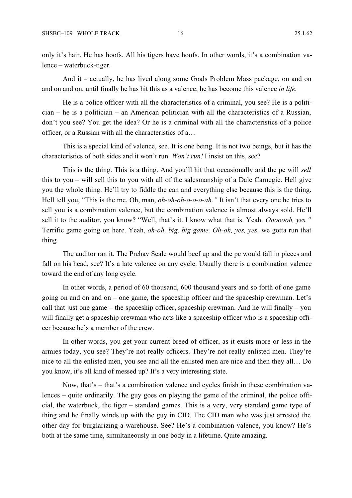only it's hair. He has hoofs. All his tigers have hoofs. In other words, it's a combination valence – waterbuck-tiger.

And it – actually, he has lived along some Goals Problem Mass package, on and on and on and on, until finally he has hit this as a valence; he has become this valence *in life.*

He is a police officer with all the characteristics of a criminal, you see? He is a politician – he is a politician – an American politician with all the characteristics of a Russian, don't you see? You get the idea? Or he is a criminal with all the characteristics of a police officer, or a Russian with all the characteristics of a…

This is a special kind of valence, see. It is one being. It is not two beings, but it has the characteristics of both sides and it won't run. *Won't run!* I insist on this, see?

This is the thing. This is a thing. And you'll hit that occasionally and the pc will *sell* this to you – will sell this to you with all of the salesmanship of a Dale Carnegie. Hell give you the whole thing. He'll try to fiddle the can and everything else because this is the thing. Hell tell you, "This is the me. Oh, man, *oh-oh-oh-o-o-o-ah."* It isn't that every one he tries to sell you is a combination valence, but the combination valence is almost always sold. He'll sell it to the auditor, you know? "Well, that's it. I know what that is. Yeah. *Ooooooh, yes."* Terrific game going on here. Yeah, *oh-oh, big, big game. Oh-oh, yes, yes,* we gotta run that thing

The auditor ran it. The Prehav Scale would beef up and the pc would fall in pieces and fall on his head, see? It's a late valence on any cycle. Usually there is a combination valence toward the end of any long cycle.

In other words, a period of 60 thousand, 600 thousand years and so forth of one game going on and on and on – one game, the spaceship officer and the spaceship crewman. Let's call that just one game – the spaceship officer, spaceship crewman. And he will finally – you will finally get a spaceship crewman who acts like a spaceship officer who is a spaceship officer because he's a member of the crew.

In other words, you get your current breed of officer, as it exists more or less in the armies today, you see? They're not really officers. They're not really enlisted men. They're nice to all the enlisted men, you see and all the enlisted men are nice and then they all… Do you know, it's all kind of messed up? It's a very interesting state.

Now, that's – that's a combination valence and cycles finish in these combination valences – quite ordinarily. The guy goes on playing the game of the criminal, the police official, the waterbuck, the tiger – standard games. This is a very, very standard game type of thing and he finally winds up with the guy in CID. The CID man who was just arrested the other day for burglarizing a warehouse. See? He's a combination valence, you know? He's both at the same time, simultaneously in one body in a lifetime. Quite amazing.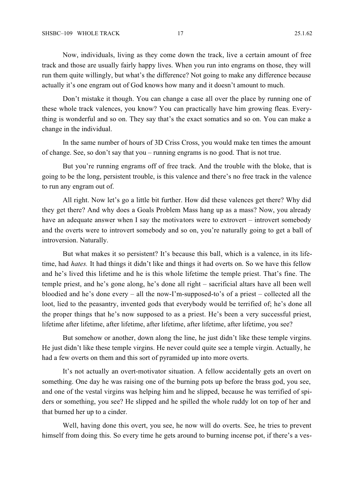Now, individuals, living as they come down the track, live a certain amount of free track and those are usually fairly happy lives. When you run into engrams on those, they will run them quite willingly, but what's the difference? Not going to make any difference because actually it's one engram out of God knows how many and it doesn't amount to much.

Don't mistake it though. You can change a case all over the place by running one of these whole track valences, you know? You can practically have him growing fleas. Everything is wonderful and so on. They say that's the exact somatics and so on. You can make a change in the individual.

In the same number of hours of 3D Criss Cross, you would make ten times the amount of change. See, so don't say that you – running engrams is no good. That is not true.

But you're running engrams off of free track. And the trouble with the bloke, that is going to be the long, persistent trouble, is this valence and there's no free track in the valence to run any engram out of.

All right. Now let's go a little bit further. How did these valences get there? Why did they get there? And why does a Goals Problem Mass hang up as a mass? Now, you already have an adequate answer when I say the motivators were to extrovert – introvert somebody and the overts were to introvert somebody and so on, you're naturally going to get a ball of introversion. Naturally.

But what makes it so persistent? It's because this ball, which is a valence, in its lifetime, had *hates.* It had things it didn't like and things it had overts on. So we have this fellow and he's lived this lifetime and he is this whole lifetime the temple priest. That's fine. The temple priest, and he's gone along, he's done all right – sacrificial altars have all been well bloodied and he's done every – all the now-I'm-supposed-to's of a priest – collected all the loot, lied to the peasantry, invented gods that everybody would be terrified of; he's done all the proper things that he's now supposed to as a priest. He's been a very successful priest, lifetime after lifetime, after lifetime, after lifetime, after lifetime, after lifetime, you see?

But somehow or another, down along the line, he just didn't like these temple virgins. He just didn't like these temple virgins. He never could quite see a temple virgin. Actually, he had a few overts on them and this sort of pyramided up into more overts.

It's not actually an overt-motivator situation. A fellow accidentally gets an overt on something. One day he was raising one of the burning pots up before the brass god, you see, and one of the vestal virgins was helping him and he slipped, because he was terrified of spiders or something, you see? He slipped and he spilled the whole ruddy lot on top of her and that burned her up to a cinder.

Well, having done this overt, you see, he now will do overts. See, he tries to prevent himself from doing this. So every time he gets around to burning incense pot, if there's a ves-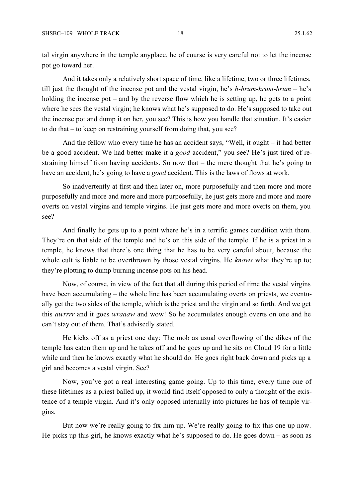tal virgin anywhere in the temple anyplace, he of course is very careful not to let the incense pot go toward her.

And it takes only a relatively short space of time, like a lifetime, two or three lifetimes, till just the thought of the incense pot and the vestal virgin, he's *h-hrum-hrum-hrum –* he's holding the incense pot – and by the reverse flow which he is setting up, he gets to a point where he sees the vestal virgin; he knows what he's supposed to do. He's supposed to take out the incense pot and dump it on her, you see? This is how you handle that situation. It's easier to do that – to keep on restraining yourself from doing that, you see?

And the fellow who every time he has an accident says, "Well, it ought – it had better be a good accident. We had better make it a *good* accident," you see? He's just tired of restraining himself from having accidents. So now that – the mere thought that he's going to have an accident, he's going to have a *good* accident. This is the laws of flows at work.

So inadvertently at first and then later on, more purposefully and then more and more purposefully and more and more and more purposefully, he just gets more and more and more overts on vestal virgins and temple virgins. He just gets more and more overts on them, you see?

And finally he gets up to a point where he's in a terrific games condition with them. They're on that side of the temple and he's on this side of the temple. If he is a priest in a temple, he knows that there's one thing that he has to be very careful about, because the whole cult is liable to be overthrown by those vestal virgins. He *knows* what they're up to; they're plotting to dump burning incense pots on his head.

Now, of course, in view of the fact that all during this period of time the vestal virgins have been accumulating – the whole line has been accumulating overts on priests, we eventually get the two sides of the temple, which is the priest and the virgin and so forth. And we get this *awrrrr* and it goes *wraaaw* and wow! So he accumulates enough overts on one and he can't stay out of them. That's advisedly stated.

He kicks off as a priest one day: The mob as usual overflowing of the dikes of the temple has eaten them up and he takes off and he goes up and he sits on Cloud 19 for a little while and then he knows exactly what he should do. He goes right back down and picks up a girl and becomes a vestal virgin. See?

Now, you've got a real interesting game going. Up to this time, every time one of these lifetimes as a priest balled up, it would find itself opposed to only a thought of the existence of a temple virgin. And it's only opposed internally into pictures he has of temple virgins.

But now we're really going to fix him up. We're really going to fix this one up now. He picks up this girl, he knows exactly what he's supposed to do. He goes down – as soon as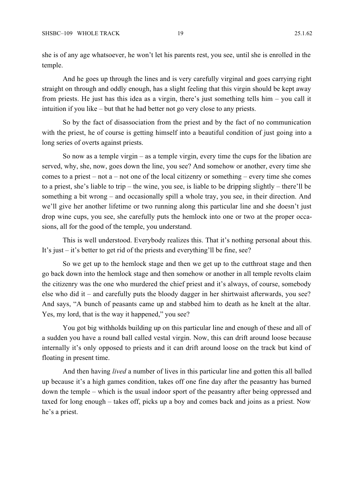she is of any age whatsoever, he won't let his parents rest, you see, until she is enrolled in the temple.

And he goes up through the lines and is very carefully virginal and goes carrying right straight on through and oddly enough, has a slight feeling that this virgin should be kept away from priests. He just has this idea as a virgin, there's just something tells him – you call it intuition if you like – but that he had better not go very close to any priests.

So by the fact of disassociation from the priest and by the fact of no communication with the priest, he of course is getting himself into a beautiful condition of just going into a long series of overts against priests.

So now as a temple virgin – as a temple virgin, every time the cups for the libation are served, why, she, now, goes down the line, you see? And somehow or another, every time she comes to a priest – not  $a$  – not one of the local citizenry or something – every time she comes to a priest, she's liable to trip – the wine, you see, is liable to be dripping slightly – there'll be something a bit wrong – and occasionally spill a whole tray, you see, in their direction. And we'll give her another lifetime or two running along this particular line and she doesn't just drop wine cups, you see, she carefully puts the hemlock into one or two at the proper occasions, all for the good of the temple, you understand.

This is well understood. Everybody realizes this. That it's nothing personal about this. It's just – it's better to get rid of the priests and everything'll be fine, see?

So we get up to the hemlock stage and then we get up to the cutthroat stage and then go back down into the hemlock stage and then somehow or another in all temple revolts claim the citizenry was the one who murdered the chief priest and it's always, of course, somebody else who did it – and carefully puts the bloody dagger in her shirtwaist afterwards, you see? And says, "A bunch of peasants came up and stabbed him to death as he knelt at the altar. Yes, my lord, that is the way it happened," you see?

You got big withholds building up on this particular line and enough of these and all of a sudden you have a round ball called vestal virgin. Now, this can drift around loose because internally it's only opposed to priests and it can drift around loose on the track but kind of floating in present time.

And then having *lived* a number of lives in this particular line and gotten this all balled up because it's a high games condition, takes off one fine day after the peasantry has burned down the temple – which is the usual indoor sport of the peasantry after being oppressed and taxed for long enough – takes off, picks up a boy and comes back and joins as a priest. Now he's a priest.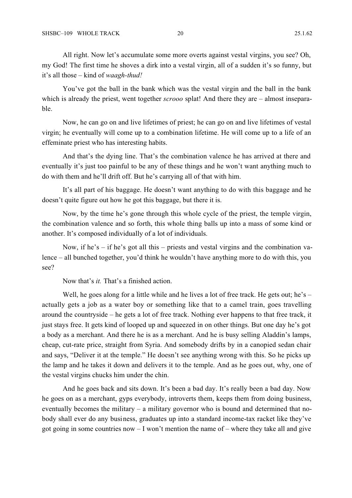All right. Now let's accumulate some more overts against vestal virgins, you see? Oh, my God! The first time he shoves a dirk into a vestal virgin, all of a sudden it's so funny, but it's all those – kind of *waagh-thud!*

You've got the ball in the bank which was the vestal virgin and the ball in the bank which is already the priest, went together *scrooo* splat! And there they are – almost inseparable.

Now, he can go on and live lifetimes of priest; he can go on and live lifetimes of vestal virgin; he eventually will come up to a combination lifetime. He will come up to a life of an effeminate priest who has interesting habits.

And that's the dying line. That's the combination valence he has arrived at there and eventually it's just too painful to be any of these things and he won't want anything much to do with them and he'll drift off. But he's carrying all of that with him.

It's all part of his baggage. He doesn't want anything to do with this baggage and he doesn't quite figure out how he got this baggage, but there it is.

Now, by the time he's gone through this whole cycle of the priest, the temple virgin, the combination valence and so forth, this whole thing balls up into a mass of some kind or another. It's composed individually of a lot of individuals.

Now, if he's – if he's got all this – priests and vestal virgins and the combination valence – all bunched together, you'd think he wouldn't have anything more to do with this, you see?

Now that's *it*. That's a finished action.

Well, he goes along for a little while and he lives a lot of free track. He gets out; he's – actually gets a job as a water boy or something like that to a camel train, goes travelling around the countryside – he gets a lot of free track. Nothing ever happens to that free track, it just stays free. It gets kind of looped up and squeezed in on other things. But one day he's got a body as a merchant. And there he is as a merchant. And he is busy selling Aladdin's lamps, cheap, cut-rate price, straight from Syria. And somebody drifts by in a canopied sedan chair and says, "Deliver it at the temple." He doesn't see anything wrong with this. So he picks up the lamp and he takes it down and delivers it to the temple. And as he goes out, why, one of the vestal virgins chucks him under the chin.

And he goes back and sits down. It's been a bad day. It's really been a bad day. Now he goes on as a merchant, gyps everybody, introverts them, keeps them from doing business, eventually becomes the military – a military governor who is bound and determined that nobody shall ever do any business, graduates up into a standard income-tax racket like they've got going in some countries now  $- I$  won't mention the name of  $-$  where they take all and give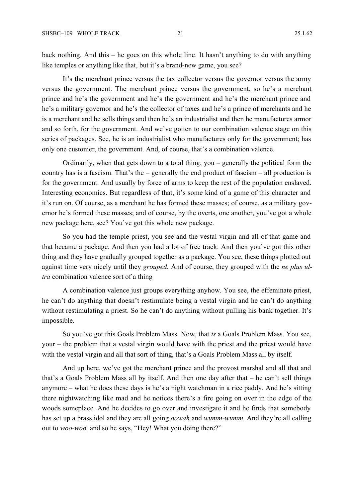back nothing. And this – he goes on this whole line. It hasn't anything to do with anything like temples or anything like that, but it's a brand-new game, you see?

It's the merchant prince versus the tax collector versus the governor versus the army versus the government. The merchant prince versus the government, so he's a merchant prince and he's the government and he's the government and he's the merchant prince and he's a military governor and he's the collector of taxes and he's a prince of merchants and he is a merchant and he sells things and then he's an industrialist and then he manufactures armor and so forth, for the government. And we've gotten to our combination valence stage on this series of packages. See, he is an industrialist who manufactures only for the government; has only one customer, the government. And, of course, that's a combination valence.

Ordinarily, when that gets down to a total thing, you – generally the political form the country has is a fascism. That's the – generally the end product of fascism – all production is for the government. And usually by force of arms to keep the rest of the population enslaved. Interesting economics. But regardless of that, it's some kind of a game of this character and it's run on. Of course, as a merchant he has formed these masses; of course, as a military governor he's formed these masses; and of course, by the overts, one another, you've got a whole new package here, see? You've got this whole new package.

So you had the temple priest, you see and the vestal virgin and all of that game and that became a package. And then you had a lot of free track. And then you've got this other thing and they have gradually grouped together as a package. You see, these things plotted out against time very nicely until they *grouped.* And of course, they grouped with the *ne plus ultra* combination valence sort of a thing

A combination valence just groups everything anyhow. You see, the effeminate priest, he can't do anything that doesn't restimulate being a vestal virgin and he can't do anything without restimulating a priest. So he can't do anything without pulling his bank together. It's impossible.

So you've got this Goals Problem Mass. Now, that *is* a Goals Problem Mass. You see, your – the problem that a vestal virgin would have with the priest and the priest would have with the vestal virgin and all that sort of thing, that's a Goals Problem Mass all by itself.

And up here, we've got the merchant prince and the provost marshal and all that and that's a Goals Problem Mass all by itself. And then one day after that – he can't sell things anymore – what he does these days is he's a night watchman in a rice paddy. And he's sitting there nightwatching like mad and he notices there's a fire going on over in the edge of the woods someplace. And he decides to go over and investigate it and he finds that somebody has set up a brass idol and they are all going *oowah* and *wumm-wumm*. And they're all calling out to *woo-woo,* and so he says, "Hey! What you doing there?"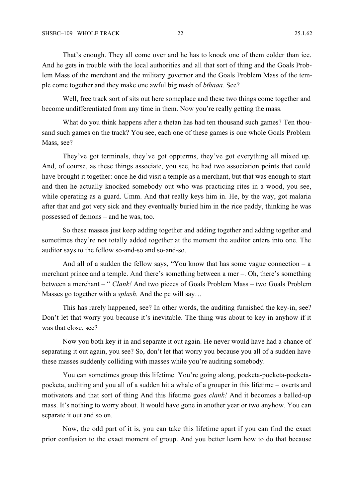That's enough. They all come over and he has to knock one of them colder than ice. And he gets in trouble with the local authorities and all that sort of thing and the Goals Problem Mass of the merchant and the military governor and the Goals Problem Mass of the temple come together and they make one awful big mash of *bthaaa.* See?

Well, free track sort of sits out here someplace and these two things come together and become undifferentiated from any time in them. Now you're really getting the mass.

What do you think happens after a thetan has had ten thousand such games? Ten thousand such games on the track? You see, each one of these games is one whole Goals Problem Mass, see?

They've got terminals, they've got oppterms, they've got everything all mixed up. And, of course, as these things associate, you see, he had two association points that could have brought it together: once he did visit a temple as a merchant, but that was enough to start and then he actually knocked somebody out who was practicing rites in a wood, you see, while operating as a guard. Umm. And that really keys him in. He, by the way, got malaria after that and got very sick and they eventually buried him in the rice paddy, thinking he was possessed of demons – and he was, too.

So these masses just keep adding together and adding together and adding together and sometimes they're not totally added together at the moment the auditor enters into one. The auditor says to the fellow so-and-so and so-and-so.

And all of a sudden the fellow says, "You know that has some vague connection  $-$  a merchant prince and a temple. And there's something between a mer –. Oh, there's something between a merchant – " *Clank!* And two pieces of Goals Problem Mass – two Goals Problem Masses go together with a *splash.* And the pc will say…

This has rarely happened, see? In other words, the auditing furnished the key-in, see? Don't let that worry you because it's inevitable. The thing was about to key in anyhow if it was that close, see?

Now you both key it in and separate it out again. He never would have had a chance of separating it out again, you see? So, don't let that worry you because you all of a sudden have these masses suddenly colliding with masses while you're auditing somebody.

You can sometimes group this lifetime. You're going along, pocketa-pocketa-pocketapocketa, auditing and you all of a sudden hit a whale of a grouper in this lifetime – overts and motivators and that sort of thing And this lifetime goes *clank!* And it becomes a balled-up mass. It's nothing to worry about. It would have gone in another year or two anyhow. You can separate it out and so on.

Now, the odd part of it is, you can take this lifetime apart if you can find the exact prior confusion to the exact moment of group. And you better learn how to do that because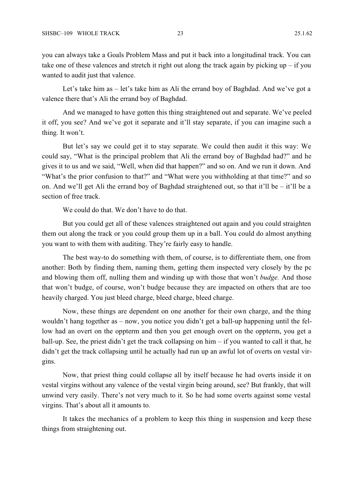you can always take a Goals Problem Mass and put it back into a longitudinal track. You can take one of these valences and stretch it right out along the track again by picking  $up - if you$ wanted to audit just that valence.

Let's take him as – let's take him as Ali the errand boy of Baghdad. And we've got a valence there that's Ali the errand boy of Baghdad.

And we managed to have gotten this thing straightened out and separate. We've peeled it off, you see? And we've got it separate and it'll stay separate, if you can imagine such a thing. It won't.

But let's say we could get it to stay separate. We could then audit it this way: We could say, "What is the principal problem that Ali the errand boy of Baghdad had?" and he gives it to us and we said, "Well, when did that happen?" and so on. And we run it down. And "What's the prior confusion to that?" and "What were you withholding at that time?" and so on. And we'll get Ali the errand boy of Baghdad straightened out, so that it'll be – it'll be a section of free track.

We could do that. We don't have to do that.

But you could get all of these valences straightened out again and you could straighten them out along the track or you could group them up in a ball. You could do almost anything you want to with them with auditing. They're fairly easy to handle.

The best way-to do something with them, of course, is to differentiate them, one from another: Both by finding them, naming them, getting them inspected very closely by the pc and blowing them off, nulling them and winding up with those that won't *budge.* And those that won't budge, of course, won't budge because they are impacted on others that are too heavily charged. You just bleed charge, bleed charge, bleed charge.

Now, these things are dependent on one another for their own charge, and the thing wouldn't hang together as – now, you notice you didn't get a ball-up happening until the fellow had an overt on the oppterm and then you get enough overt on the oppterm, you get a ball-up. See, the priest didn't get the track collapsing on him – if you wanted to call it that, he didn't get the track collapsing until he actually had run up an awful lot of overts on vestal virgins.

Now, that priest thing could collapse all by itself because he had overts inside it on vestal virgins without any valence of the vestal virgin being around, see? But frankly, that will unwind very easily. There's not very much to it. So he had some overts against some vestal virgins. That's about all it amounts to.

It takes the mechanics of a problem to keep this thing in suspension and keep these things from straightening out.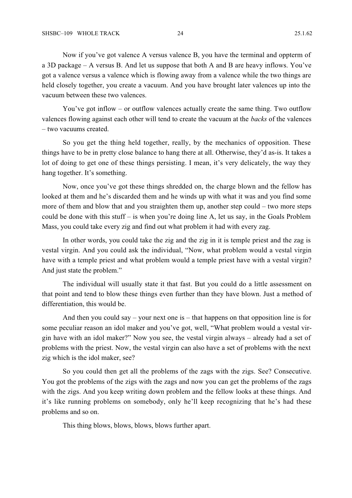Now if you've got valence A versus valence B, you have the terminal and oppterm of a 3D package – A versus B. And let us suppose that both A and B are heavy inflows. You've got a valence versus a valence which is flowing away from a valence while the two things are held closely together, you create a vacuum. And you have brought later valences up into the vacuum between these two valences.

You've got inflow – or outflow valences actually create the same thing. Two outflow valences flowing against each other will tend to create the vacuum at the *backs* of the valences – two vacuums created.

So you get the thing held together, really, by the mechanics of opposition. These things have to be in pretty close balance to hang there at all. Otherwise, they'd as-is. It takes a lot of doing to get one of these things persisting. I mean, it's very delicately, the way they hang together. It's something.

Now, once you've got these things shredded on, the charge blown and the fellow has looked at them and he's discarded them and he winds up with what it was and you find some more of them and blow that and you straighten them up, another step could – two more steps could be done with this stuff – is when you're doing line A, let us say, in the Goals Problem Mass, you could take every zig and find out what problem it had with every zag.

In other words, you could take the zig and the zig in it is temple priest and the zag is vestal virgin. And you could ask the individual, "Now, what problem would a vestal virgin have with a temple priest and what problem would a temple priest have with a vestal virgin? And just state the problem."

The individual will usually state it that fast. But you could do a little assessment on that point and tend to blow these things even further than they have blown. Just a method of differentiation, this would be.

And then you could say – your next one is – that happens on that opposition line is for some peculiar reason an idol maker and you've got, well, "What problem would a vestal virgin have with an idol maker?" Now you see, the vestal virgin always – already had a set of problems with the priest. Now, the vestal virgin can also have a set of problems with the next zig which is the idol maker, see?

So you could then get all the problems of the zags with the zigs. See? Consecutive. You got the problems of the zigs with the zags and now you can get the problems of the zags with the zigs. And you keep writing down problem and the fellow looks at these things. And it's like running problems on somebody, only he'll keep recognizing that he's had these problems and so on.

This thing blows, blows, blows, blows further apart.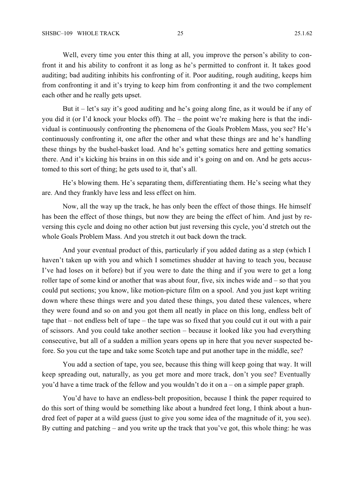Well, every time you enter this thing at all, you improve the person's ability to confront it and his ability to confront it as long as he's permitted to confront it. It takes good auditing; bad auditing inhibits his confronting of it. Poor auditing, rough auditing, keeps him from confronting it and it's trying to keep him from confronting it and the two complement each other and he really gets upset.

But it – let's say it's good auditing and he's going along fine, as it would be if any of you did it (or I'd knock your blocks off). The – the point we're making here is that the individual is continuously confronting the phenomena of the Goals Problem Mass, you see? He's continuously confronting it, one after the other and what these things are and he's handling these things by the bushel-basket load. And he's getting somatics here and getting somatics there. And it's kicking his brains in on this side and it's going on and on. And he gets accustomed to this sort of thing; he gets used to it, that's all.

He's blowing them. He's separating them, differentiating them. He's seeing what they are. And they frankly have less and less effect on him.

Now, all the way up the track, he has only been the effect of those things. He himself has been the effect of those things, but now they are being the effect of him. And just by reversing this cycle and doing no other action but just reversing this cycle, you'd stretch out the whole Goals Problem Mass. And you stretch it out back down the track.

And your eventual product of this, particularly if you added dating as a step (which I haven't taken up with you and which I sometimes shudder at having to teach you, because I've had loses on it before) but if you were to date the thing and if you were to get a long roller tape of some kind or another that was about four, five, six inches wide and – so that you could put sections; you know, like motion-picture film on a spool. And you just kept writing down where these things were and you dated these things, you dated these valences, where they were found and so on and you got them all neatly in place on this long, endless belt of tape that – not endless belt of tape – the tape was so fixed that you could cut it out with a pair of scissors. And you could take another section – because it looked like you had everything consecutive, but all of a sudden a million years opens up in here that you never suspected before. So you cut the tape and take some Scotch tape and put another tape in the middle, see?

You add a section of tape, you see, because this thing will keep going that way. It will keep spreading out, naturally, as you get more and more track, don't you see? Eventually you'd have a time track of the fellow and you wouldn't do it on a – on a simple paper graph.

You'd have to have an endless-belt proposition, because I think the paper required to do this sort of thing would be something like about a hundred feet long, I think about a hundred feet of paper at a wild guess (just to give you some idea of the magnitude of it, you see). By cutting and patching – and you write up the track that you've got, this whole thing: he was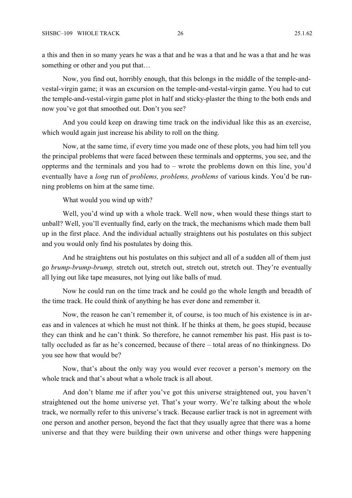a this and then in so many years he was a that and he was a that and he was a that and he was something or other and you put that…

Now, you find out, horribly enough, that this belongs in the middle of the temple-andvestal-virgin game; it was an excursion on the temple-and-vestal-virgin game. You had to cut the temple-and-vestal-virgin game plot in half and sticky-plaster the thing to the both ends and now you've got that smoothed out. Don't you see?

And you could keep on drawing time track on the individual like this as an exercise, which would again just increase his ability to roll on the thing.

Now, at the same time, if every time you made one of these plots, you had him tell you the principal problems that were faced between these terminals and oppterms, you see, and the oppterms and the terminals and you had to – wrote the problems down on this line, you'd eventually have a *long* run of *problems, problems, problems* of various kinds. You'd be running problems on him at the same time.

What would you wind up with?

Well, you'd wind up with a whole track. Well now, when would these things start to unball? Well, you'll eventually find, early on the track, the mechanisms which made them ball up in the first place. And the individual actually straightens out his postulates on this subject and you would only find his postulates by doing this.

And he straightens out his postulates on this subject and all of a sudden all of them just go *brump-brump-brump,* stretch out, stretch out, stretch out, stretch out. They're eventually all lying out like tape measures, not lying out like balls of mud.

Now he could run on the time track and he could go the whole length and breadth of the time track. He could think of anything he has ever done and remember it.

Now, the reason he can't remember it, of course, is too much of his existence is in areas and in valences at which he must not think. If he thinks at them, he goes stupid, because they can think and he can't think. So therefore, he cannot remember his past. His past is totally occluded as far as he's concerned, because of there – total areas of no thinkingness. Do you see how that would be?

Now, that's about the only way you would ever recover a person's memory on the whole track and that's about what a whole track is all about.

And don't blame me if after you've got this universe straightened out, you haven't straightened out the home universe yet. That's your worry. We're talking about the whole track, we normally refer to this universe's track. Because earlier track is not in agreement with one person and another person, beyond the fact that they usually agree that there was a home universe and that they were building their own universe and other things were happening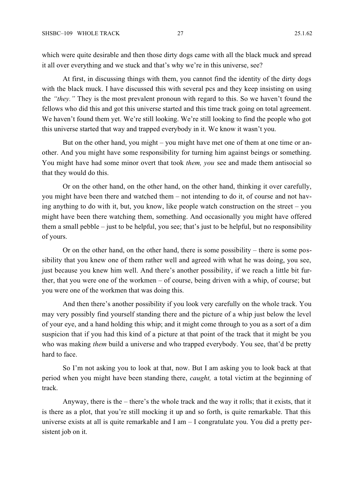which were quite desirable and then those dirty dogs came with all the black muck and spread it all over everything and we stuck and that's why we're in this universe, see?

At first, in discussing things with them, you cannot find the identity of the dirty dogs with the black muck. I have discussed this with several pcs and they keep insisting on using the *"they."* They is the most prevalent pronoun with regard to this. So we haven't found the fellows who did this and got this universe started and this time track going on total agreement. We haven't found them yet. We're still looking. We're still looking to find the people who got this universe started that way and trapped everybody in it. We know it wasn't you.

But on the other hand, you might – you might have met one of them at one time or another. And you might have some responsibility for turning him against beings or something. You might have had some minor overt that took *them, you* see and made them antisocial so that they would do this.

Or on the other hand, on the other hand, on the other hand, thinking it over carefully, you might have been there and watched them – not intending to do it, of course and not having anything to do with it, but, you know, like people watch construction on the street – you might have been there watching them, something. And occasionally you might have offered them a small pebble – just to be helpful, you see; that's just to be helpful, but no responsibility of yours.

Or on the other hand, on the other hand, there is some possibility – there is some possibility that you knew one of them rather well and agreed with what he was doing, you see, just because you knew him well. And there's another possibility, if we reach a little bit further, that you were one of the workmen – of course, being driven with a whip, of course; but you were one of the workmen that was doing this.

And then there's another possibility if you look very carefully on the whole track. You may very possibly find yourself standing there and the picture of a whip just below the level of your eye, and a hand holding this whip; and it might come through to you as a sort of a dim suspicion that if you had this kind of a picture at that point of the track that it might be you who was making *them* build a universe and who trapped everybody. You see, that'd be pretty hard to face.

So I'm not asking you to look at that, now. But I am asking you to look back at that period when you might have been standing there, *caught,* a total victim at the beginning of track.

Anyway, there is the – there's the whole track and the way it rolls; that it exists, that it is there as a plot, that you're still mocking it up and so forth, is quite remarkable. That this universe exists at all is quite remarkable and I am – I congratulate you. You did a pretty persistent job on it.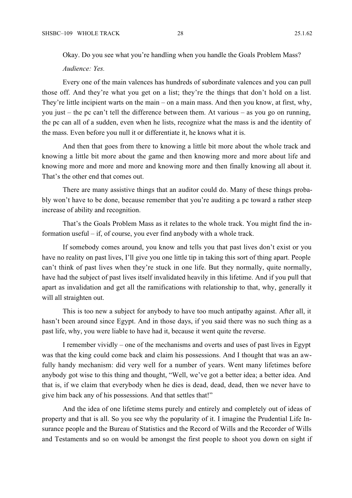Okay. Do you see what you're handling when you handle the Goals Problem Mass?

*Audience: Yes.*

Every one of the main valences has hundreds of subordinate valences and you can pull those off. And they're what you get on a list; they're the things that don't hold on a list. They're little incipient warts on the main – on a main mass. And then you know, at first, why, you just – the pc can't tell the difference between them. At various – as you go on running, the pc can all of a sudden, even when he lists, recognize what the mass is and the identity of the mass. Even before you null it or differentiate it, he knows what it is.

And then that goes from there to knowing a little bit more about the whole track and knowing a little bit more about the game and then knowing more and more about life and knowing more and more and more and knowing more and then finally knowing all about it. That's the other end that comes out.

There are many assistive things that an auditor could do. Many of these things probably won't have to be done, because remember that you're auditing a pc toward a rather steep increase of ability and recognition.

That's the Goals Problem Mass as it relates to the whole track. You might find the information useful – if, of course, you ever find anybody with a whole track.

If somebody comes around, you know and tells you that past lives don't exist or you have no reality on past lives, I'll give you one little tip in taking this sort of thing apart. People can't think of past lives when they're stuck in one life. But they normally, quite normally, have had the subject of past lives itself invalidated heavily in this lifetime. And if you pull that apart as invalidation and get all the ramifications with relationship to that, why, generally it will all straighten out.

This is too new a subject for anybody to have too much antipathy against. After all, it hasn't been around since Egypt. And in those days, if you said there was no such thing as a past life, why, you were liable to have had it, because it went quite the reverse.

I remember vividly – one of the mechanisms and overts and uses of past lives in Egypt was that the king could come back and claim his possessions. And I thought that was an awfully handy mechanism: did very well for a number of years. Went many lifetimes before anybody got wise to this thing and thought, "Well, we've got a better idea; a better idea. And that is, if we claim that everybody when he dies is dead, dead, dead, then we never have to give him back any of his possessions. And that settles that!"

And the idea of one lifetime stems purely and entirely and completely out of ideas of property and that is all. So you see why the popularity of it. I imagine the Prudential Life Insurance people and the Bureau of Statistics and the Record of Wills and the Recorder of Wills and Testaments and so on would be amongst the first people to shoot you down on sight if